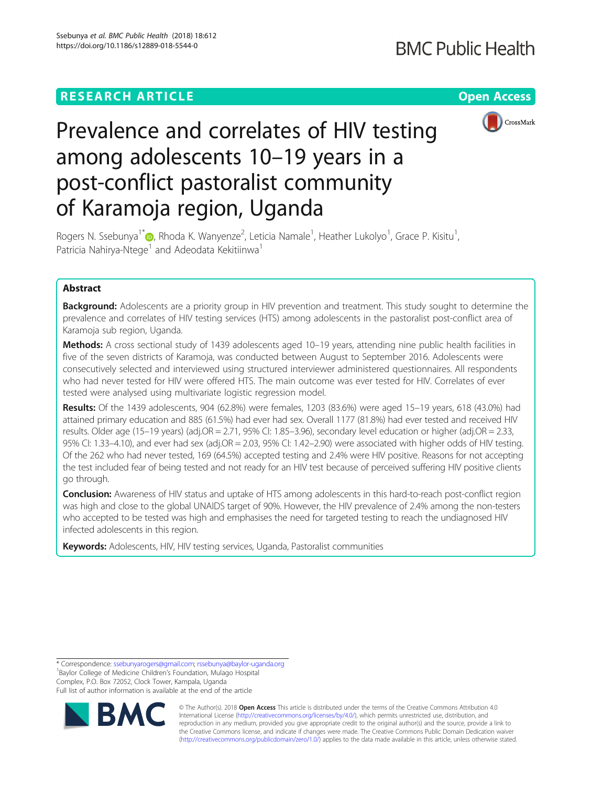# **RESEARCH ARTICLE Example 2014 12:30 The Contract of Contract ACCESS**



# Prevalence and correlates of HIV testing among adolescents 10–19 years in a post-conflict pastoralist community of Karamoja region, Uganda

Rogers N. Ssebunya<sup>1\*</sup>D[,](http://orcid.org/0000-0003-1625-1579) Rhoda K. Wanyenze<sup>2</sup>, Leticia Namale<sup>1</sup>, Heather Lukolyo<sup>1</sup>, Grace P. Kisitu<sup>1</sup> , Patricia Nahirya-Ntege<sup>1</sup> and Adeodata Kekitiinwa<sup>1</sup>

# Abstract

**Background:** Adolescents are a priority group in HIV prevention and treatment. This study sought to determine the prevalence and correlates of HIV testing services (HTS) among adolescents in the pastoralist post-conflict area of Karamoja sub region, Uganda.

Methods: A cross sectional study of 1439 adolescents aged 10-19 years, attending nine public health facilities in five of the seven districts of Karamoja, was conducted between August to September 2016. Adolescents were consecutively selected and interviewed using structured interviewer administered questionnaires. All respondents who had never tested for HIV were offered HTS. The main outcome was ever tested for HIV. Correlates of ever tested were analysed using multivariate logistic regression model.

Results: Of the 1439 adolescents, 904 (62.8%) were females, 1203 (83.6%) were aged 15–19 years, 618 (43.0%) had attained primary education and 885 (61.5%) had ever had sex. Overall 1177 (81.8%) had ever tested and received HIV results. Older age (15–19 years) (adj.OR = 2.71, 95% CI: 1.85–3.96), secondary level education or higher (adj.OR = 2.33, 95% CI: 1.33–4.10), and ever had sex (adj.OR = 2.03, 95% CI: 1.42–2.90) were associated with higher odds of HIV testing. Of the 262 who had never tested, 169 (64.5%) accepted testing and 2.4% were HIV positive. Reasons for not accepting the test included fear of being tested and not ready for an HIV test because of perceived suffering HIV positive clients go through.

Conclusion: Awareness of HIV status and uptake of HTS among adolescents in this hard-to-reach post-conflict region was high and close to the global UNAIDS target of 90%. However, the HIV prevalence of 2.4% among the non-testers who accepted to be tested was high and emphasises the need for targeted testing to reach the undiagnosed HIV infected adolescents in this region.

Keywords: Adolescents, HIV, HIV testing services, Uganda, Pastoralist communities

\* Correspondence: [ssebunyarogers@gmail.com](mailto:ssebunyarogers@gmail.com); [rssebunya@baylor-uganda.org](mailto:rssebunya@baylor-uganda.org) <sup>1</sup> <sup>1</sup>Baylor College of Medicine Children's Foundation, Mulago Hospital Complex, P.O. Box 72052, Clock Tower, Kampala, Uganda Full list of author information is available at the end of the article



© The Author(s). 2018 Open Access This article is distributed under the terms of the Creative Commons Attribution 4.0 International License [\(http://creativecommons.org/licenses/by/4.0/](http://creativecommons.org/licenses/by/4.0/)), which permits unrestricted use, distribution, and reproduction in any medium, provided you give appropriate credit to the original author(s) and the source, provide a link to the Creative Commons license, and indicate if changes were made. The Creative Commons Public Domain Dedication waiver [\(http://creativecommons.org/publicdomain/zero/1.0/](http://creativecommons.org/publicdomain/zero/1.0/)) applies to the data made available in this article, unless otherwise stated.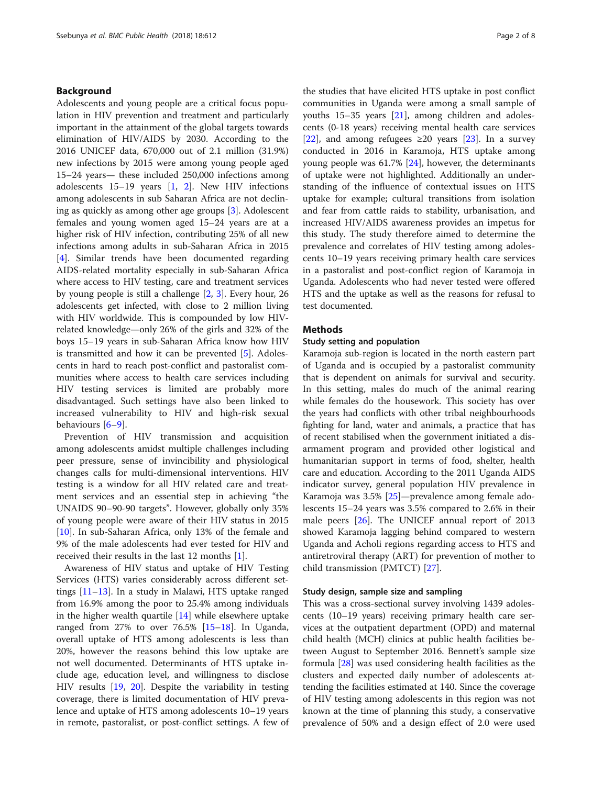# Background

Adolescents and young people are a critical focus population in HIV prevention and treatment and particularly important in the attainment of the global targets towards elimination of HIV/AIDS by 2030. According to the 2016 UNICEF data, 670,000 out of 2.1 million (31.9%) new infections by 2015 were among young people aged 15–24 years— these included 250,000 infections among adolescents  $15-19$  years  $\begin{bmatrix} 1, 2 \end{bmatrix}$  $\begin{bmatrix} 1, 2 \end{bmatrix}$  $\begin{bmatrix} 1, 2 \end{bmatrix}$  $\begin{bmatrix} 1, 2 \end{bmatrix}$  $\begin{bmatrix} 1, 2 \end{bmatrix}$ . New HIV infections among adolescents in sub Saharan Africa are not declining as quickly as among other age groups [\[3\]](#page-6-0). Adolescent females and young women aged 15–24 years are at a higher risk of HIV infection, contributing 25% of all new infections among adults in sub-Saharan Africa in 2015 [[4\]](#page-6-0). Similar trends have been documented regarding AIDS-related mortality especially in sub-Saharan Africa where access to HIV testing, care and treatment services by young people is still a challenge [\[2](#page-6-0), [3\]](#page-6-0). Every hour, 26 adolescents get infected, with close to 2 million living with HIV worldwide. This is compounded by low HIVrelated knowledge—only 26% of the girls and 32% of the boys 15–19 years in sub-Saharan Africa know how HIV is transmitted and how it can be prevented [[5\]](#page-6-0). Adolescents in hard to reach post-conflict and pastoralist communities where access to health care services including HIV testing services is limited are probably more disadvantaged. Such settings have also been linked to increased vulnerability to HIV and high-risk sexual behaviours [[6](#page-6-0)–[9\]](#page-6-0).

Prevention of HIV transmission and acquisition among adolescents amidst multiple challenges including peer pressure, sense of invincibility and physiological changes calls for multi-dimensional interventions. HIV testing is a window for all HIV related care and treatment services and an essential step in achieving "the UNAIDS 90–90-90 targets". However, globally only 35% of young people were aware of their HIV status in 2015 [[10\]](#page-6-0). In sub-Saharan Africa, only 13% of the female and 9% of the male adolescents had ever tested for HIV and received their results in the last 12 months [[1](#page-6-0)].

Awareness of HIV status and uptake of HIV Testing Services (HTS) varies considerably across different settings [[11](#page-6-0)–[13](#page-6-0)]. In a study in Malawi, HTS uptake ranged from 16.9% among the poor to 25.4% among individuals in the higher wealth quartile [[14\]](#page-6-0) while elsewhere uptake ranged from 27% to over 76.5% [[15](#page-6-0)–[18](#page-6-0)]. In Uganda, overall uptake of HTS among adolescents is less than 20%, however the reasons behind this low uptake are not well documented. Determinants of HTS uptake include age, education level, and willingness to disclose HIV results [\[19](#page-6-0), [20](#page-6-0)]. Despite the variability in testing coverage, there is limited documentation of HIV prevalence and uptake of HTS among adolescents 10–19 years in remote, pastoralist, or post-conflict settings. A few of the studies that have elicited HTS uptake in post conflict communities in Uganda were among a small sample of youths 15–35 years [[21\]](#page-6-0), among children and adolescents (0-18 years) receiving mental health care services [[22\]](#page-6-0), and among refugees  $\geq 20$  years [[23\]](#page-6-0). In a survey conducted in 2016 in Karamoja, HTS uptake among young people was 61.7% [\[24](#page-6-0)], however, the determinants of uptake were not highlighted. Additionally an understanding of the influence of contextual issues on HTS uptake for example; cultural transitions from isolation and fear from cattle raids to stability, urbanisation, and increased HIV/AIDS awareness provides an impetus for this study. The study therefore aimed to determine the prevalence and correlates of HIV testing among adolescents 10–19 years receiving primary health care services in a pastoralist and post-conflict region of Karamoja in Uganda. Adolescents who had never tested were offered HTS and the uptake as well as the reasons for refusal to test documented.

# **Methods**

# Study setting and population

Karamoja sub-region is located in the north eastern part of Uganda and is occupied by a pastoralist community that is dependent on animals for survival and security. In this setting, males do much of the animal rearing while females do the housework. This society has over the years had conflicts with other tribal neighbourhoods fighting for land, water and animals, a practice that has of recent stabilised when the government initiated a disarmament program and provided other logistical and humanitarian support in terms of food, shelter, health care and education. According to the 2011 Uganda AIDS indicator survey, general population HIV prevalence in Karamoja was 3.5% [[25](#page-6-0)]—prevalence among female adolescents 15–24 years was 3.5% compared to 2.6% in their male peers [[26](#page-7-0)]. The UNICEF annual report of 2013 showed Karamoja lagging behind compared to western Uganda and Acholi regions regarding access to HTS and antiretroviral therapy (ART) for prevention of mother to child transmission (PMTCT) [\[27](#page-7-0)].

# Study design, sample size and sampling

This was a cross-sectional survey involving 1439 adolescents (10–19 years) receiving primary health care services at the outpatient department (OPD) and maternal child health (MCH) clinics at public health facilities between August to September 2016. Bennett's sample size formula [\[28\]](#page-7-0) was used considering health facilities as the clusters and expected daily number of adolescents attending the facilities estimated at 140. Since the coverage of HIV testing among adolescents in this region was not known at the time of planning this study, a conservative prevalence of 50% and a design effect of 2.0 were used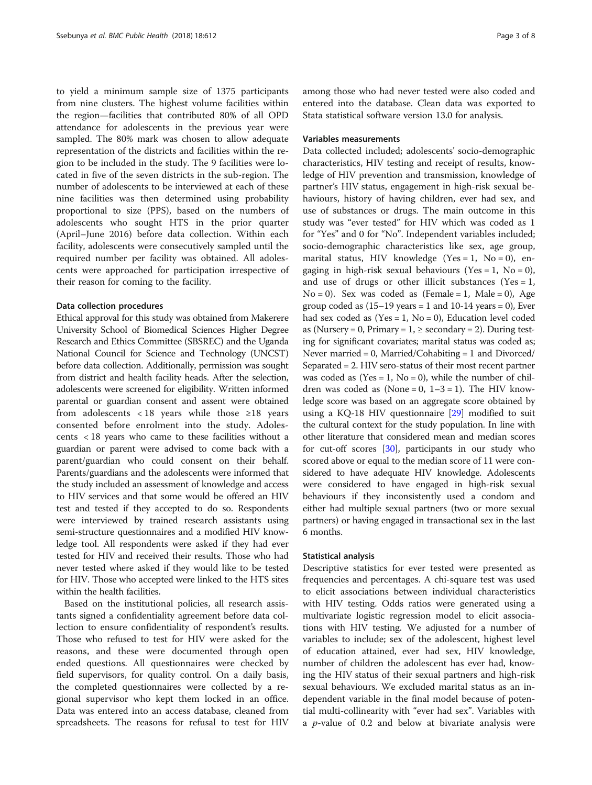to yield a minimum sample size of 1375 participants from nine clusters. The highest volume facilities within the region—facilities that contributed 80% of all OPD attendance for adolescents in the previous year were sampled. The 80% mark was chosen to allow adequate representation of the districts and facilities within the region to be included in the study. The 9 facilities were located in five of the seven districts in the sub-region. The number of adolescents to be interviewed at each of these nine facilities was then determined using probability proportional to size (PPS), based on the numbers of adolescents who sought HTS in the prior quarter (April–June 2016) before data collection. Within each facility, adolescents were consecutively sampled until the required number per facility was obtained. All adolescents were approached for participation irrespective of their reason for coming to the facility.

# Data collection procedures

Ethical approval for this study was obtained from Makerere University School of Biomedical Sciences Higher Degree Research and Ethics Committee (SBSREC) and the Uganda National Council for Science and Technology (UNCST) before data collection. Additionally, permission was sought from district and health facility heads. After the selection, adolescents were screened for eligibility. Written informed parental or guardian consent and assent were obtained from adolescents < 18 years while those  $\geq 18$  years consented before enrolment into the study. Adolescents < 18 years who came to these facilities without a guardian or parent were advised to come back with a parent/guardian who could consent on their behalf. Parents/guardians and the adolescents were informed that the study included an assessment of knowledge and access to HIV services and that some would be offered an HIV test and tested if they accepted to do so. Respondents were interviewed by trained research assistants using semi-structure questionnaires and a modified HIV knowledge tool. All respondents were asked if they had ever tested for HIV and received their results. Those who had never tested where asked if they would like to be tested for HIV. Those who accepted were linked to the HTS sites within the health facilities.

Based on the institutional policies, all research assistants signed a confidentiality agreement before data collection to ensure confidentiality of respondent's results. Those who refused to test for HIV were asked for the reasons, and these were documented through open ended questions. All questionnaires were checked by field supervisors, for quality control. On a daily basis, the completed questionnaires were collected by a regional supervisor who kept them locked in an office. Data was entered into an access database, cleaned from spreadsheets. The reasons for refusal to test for HIV among those who had never tested were also coded and entered into the database. Clean data was exported to Stata statistical software version 13.0 for analysis.

# Variables measurements

Data collected included; adolescents' socio-demographic characteristics, HIV testing and receipt of results, knowledge of HIV prevention and transmission, knowledge of partner's HIV status, engagement in high-risk sexual behaviours, history of having children, ever had sex, and use of substances or drugs. The main outcome in this study was "ever tested" for HIV which was coded as 1 for "Yes" and 0 for "No". Independent variables included; socio-demographic characteristics like sex, age group, marital status, HIV knowledge (Yes = 1, No = 0), engaging in high-risk sexual behaviours (Yes = 1, No = 0), and use of drugs or other illicit substances (Yes =  $1$ ,  $No = 0$ ). Sex was coded as (Female = 1, Male = 0), Age group coded as  $(15-19 \text{ years} = 1 \text{ and } 10-14 \text{ years} = 0)$ , Ever had sex coded as (Yes = 1, No = 0), Education level coded as (Nursery = 0, Primary =  $1$ ,  $\ge$  secondary = 2). During testing for significant covariates; marital status was coded as; Never married = 0, Married/Cohabiting = 1 and Divorced/ Separated = 2. HIV sero-status of their most recent partner was coded as (Yes = 1, No = 0), while the number of children was coded as (None =  $0$ , 1–3 = 1). The HIV knowledge score was based on an aggregate score obtained by using a KQ-18 HIV questionnaire [\[29](#page-7-0)] modified to suit the cultural context for the study population. In line with other literature that considered mean and median scores for cut-off scores [[30](#page-7-0)], participants in our study who scored above or equal to the median score of 11 were considered to have adequate HIV knowledge. Adolescents were considered to have engaged in high-risk sexual behaviours if they inconsistently used a condom and either had multiple sexual partners (two or more sexual partners) or having engaged in transactional sex in the last 6 months.

# Statistical analysis

Descriptive statistics for ever tested were presented as frequencies and percentages. A chi-square test was used to elicit associations between individual characteristics with HIV testing. Odds ratios were generated using a multivariate logistic regression model to elicit associations with HIV testing. We adjusted for a number of variables to include; sex of the adolescent, highest level of education attained, ever had sex, HIV knowledge, number of children the adolescent has ever had, knowing the HIV status of their sexual partners and high-risk sexual behaviours. We excluded marital status as an independent variable in the final model because of potential multi-collinearity with "ever had sex". Variables with a  $p$ -value of 0.2 and below at bivariate analysis were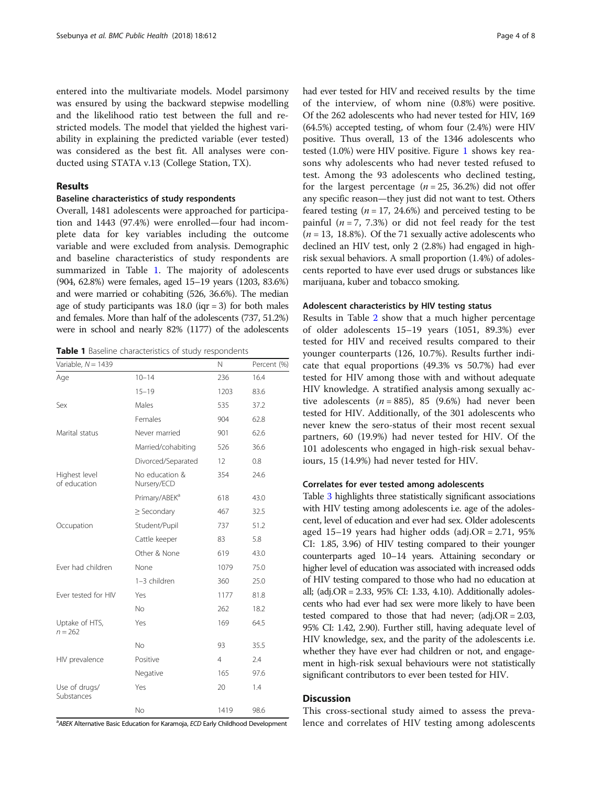entered into the multivariate models. Model parsimony was ensured by using the backward stepwise modelling and the likelihood ratio test between the full and restricted models. The model that yielded the highest variability in explaining the predicted variable (ever tested) was considered as the best fit. All analyses were conducted using STATA v.13 (College Station, TX).

# Results

# Baseline characteristics of study respondents

Overall, 1481 adolescents were approached for participation and 1443 (97.4%) were enrolled—four had incomplete data for key variables including the outcome variable and were excluded from analysis. Demographic and baseline characteristics of study respondents are summarized in Table 1. The majority of adolescents (904, 62.8%) were females, aged 15–19 years (1203, 83.6%) and were married or cohabiting (526, 36.6%). The median age of study participants was  $18.0$  (iqr = 3) for both males and females. More than half of the adolescents (737, 51.2%) were in school and nearly 82% (1177) of the adolescents

Table 1 Baseline characteristics of study respondents

| Variable, $N = 1439$          |                               | N              | Percent (%) |
|-------------------------------|-------------------------------|----------------|-------------|
| Age                           | $10 - 14$                     | 236            | 16.4        |
|                               | $15 - 19$                     | 1203           | 83.6        |
| Sex                           | Males                         | 535            | 37.2        |
|                               | Females                       | 904            | 62.8        |
| Marital status                | Never married                 | 901            | 62.6        |
|                               | Married/cohabiting            | 526            | 36.6        |
|                               | Divorced/Separated            | 12             | 0.8         |
| Highest level<br>of education | No education &<br>Nursery/ECD | 354            | 24.6        |
|                               | Primary/ABEK <sup>a</sup>     | 618            | 43.0        |
|                               | $\ge$ Secondary               | 467            | 32.5        |
| Occupation                    | Student/Pupil                 | 737            | 51.2        |
|                               | Cattle keeper                 | 83             | 5.8         |
|                               | Other & None                  | 619            | 43.0        |
| Ever had children             | None                          | 1079           | 75.0        |
|                               | 1-3 children                  | 360            | 25.0        |
| Ever tested for HIV           | Yes                           | 1177           | 81.8        |
|                               | <b>No</b>                     | 262            | 18.2        |
| Uptake of HTS,<br>$n = 262$   | Yes                           | 169            | 64.5        |
|                               | <b>No</b>                     | 93             | 35.5        |
| HIV prevalence                | Positive                      | $\overline{4}$ | 2.4         |
|                               | Negative                      | 165            | 97.6        |
| Use of drugs/<br>Substances   | Yes                           | 20             | 1.4         |
|                               | <b>No</b>                     | 1419           | 98.6        |

<sup>a</sup>ABEK Alternative Basic Education for Karamoja, ECD Early Childhood Development

had ever tested for HIV and received results by the time of the interview, of whom nine (0.8%) were positive. Of the 262 adolescents who had never tested for HIV, 169 (64.5%) accepted testing, of whom four (2.4%) were HIV positive. Thus overall, 13 of the 1346 adolescents who tested (1.0%) were HIV positive. Figure [1](#page-4-0) shows key reasons why adolescents who had never tested refused to test. Among the 93 adolescents who declined testing, for the largest percentage  $(n = 25, 36.2%)$  did not offer any specific reason—they just did not want to test. Others feared testing  $(n = 17, 24.6%)$  and perceived testing to be painful ( $n = 7, 7.3\%$ ) or did not feel ready for the test  $(n = 13, 18.8\%)$ . Of the 71 sexually active adolescents who declined an HIV test, only 2 (2.8%) had engaged in highrisk sexual behaviors. A small proportion (1.4%) of adolescents reported to have ever used drugs or substances like marijuana, kuber and tobacco smoking.

# Adolescent characteristics by HIV testing status

Results in Table [2](#page-4-0) show that a much higher percentage of older adolescents 15–19 years (1051, 89.3%) ever tested for HIV and received results compared to their younger counterparts (126, 10.7%). Results further indicate that equal proportions (49.3% vs 50.7%) had ever tested for HIV among those with and without adequate HIV knowledge. A stratified analysis among sexually active adolescents ( $n = 885$ ), 85 (9.6%) had never been tested for HIV. Additionally, of the 301 adolescents who never knew the sero-status of their most recent sexual partners, 60 (19.9%) had never tested for HIV. Of the 101 adolescents who engaged in high-risk sexual behaviours, 15 (14.9%) had never tested for HIV.

# Correlates for ever tested among adolescents

Table [3](#page-5-0) highlights three statistically significant associations with HIV testing among adolescents i.e. age of the adolescent, level of education and ever had sex. Older adolescents aged  $15-19$  years had higher odds (adj.OR = 2.71, 95%) CI: 1.85, 3.96) of HIV testing compared to their younger counterparts aged 10–14 years. Attaining secondary or higher level of education was associated with increased odds of HIV testing compared to those who had no education at all; (adj.OR = 2.33, 95% CI: 1.33, 4.10). Additionally adolescents who had ever had sex were more likely to have been tested compared to those that had never; (adj.OR = 2.03, 95% CI: 1.42, 2.90). Further still, having adequate level of HIV knowledge, sex, and the parity of the adolescents i.e. whether they have ever had children or not, and engagement in high-risk sexual behaviours were not statistically significant contributors to ever been tested for HIV.

# **Discussion**

This cross-sectional study aimed to assess the prevalence and correlates of HIV testing among adolescents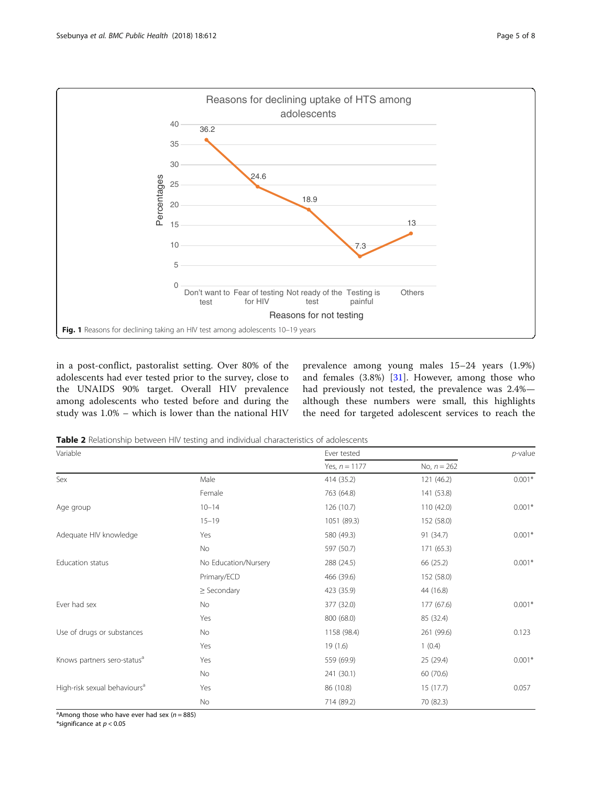<span id="page-4-0"></span>

in a post-conflict, pastoralist setting. Over 80% of the adolescents had ever tested prior to the survey, close to the UNAIDS 90% target. Overall HIV prevalence among adolescents who tested before and during the study was 1.0% – which is lower than the national HIV

prevalence among young males 15–24 years (1.9%) and females (3.8%) [[31\]](#page-7-0). However, among those who had previously not tested, the prevalence was 2.4% although these numbers were small, this highlights the need for targeted adolescent services to reach the

Table 2 Relationship between HIV testing and individual characteristics of adolescents

| Variable                                 |                      | Ever tested     |               |          |
|------------------------------------------|----------------------|-----------------|---------------|----------|
|                                          |                      | Yes, $n = 1177$ | No, $n = 262$ |          |
| Sex                                      | Male                 | 414 (35.2)      | 121(46.2)     | $0.001*$ |
|                                          | Female               | 763 (64.8)      | 141 (53.8)    |          |
| Age group                                | $10 - 14$            | 126 (10.7)      | 110(42.0)     | $0.001*$ |
|                                          | $15 - 19$            | 1051 (89.3)     | 152 (58.0)    |          |
| Adequate HIV knowledge                   | Yes                  | 580 (49.3)      | 91 (34.7)     | $0.001*$ |
|                                          | No                   | 597 (50.7)      | 171(65.3)     |          |
| Education status                         | No Education/Nursery | 288 (24.5)      | 66 (25.2)     | $0.001*$ |
|                                          | Primary/ECD          | 466 (39.6)      | 152 (58.0)    |          |
|                                          | $\geq$ Secondary     | 423 (35.9)      | 44 (16.8)     |          |
| Ever had sex                             | No                   | 377 (32.0)      | 177(67.6)     | $0.001*$ |
|                                          | Yes                  | 800 (68.0)      | 85 (32.4)     |          |
| Use of drugs or substances               | No                   | 1158 (98.4)     | 261 (99.6)    | 0.123    |
|                                          | Yes                  | 19(1.6)         | 1(0.4)        |          |
| Knows partners sero-status <sup>a</sup>  | Yes                  | 559 (69.9)      | 25 (29.4)     | $0.001*$ |
|                                          | No                   | 241 (30.1)      | 60 (70.6)     |          |
| High-risk sexual behaviours <sup>a</sup> | Yes                  | 86 (10.8)       | 15(17.7)      | 0.057    |
|                                          | No                   | 714 (89.2)      | 70 (82.3)     |          |

<sup>a</sup> Among those who have ever had sex ( $n = 885$ )

\*significance at  $p < 0.05$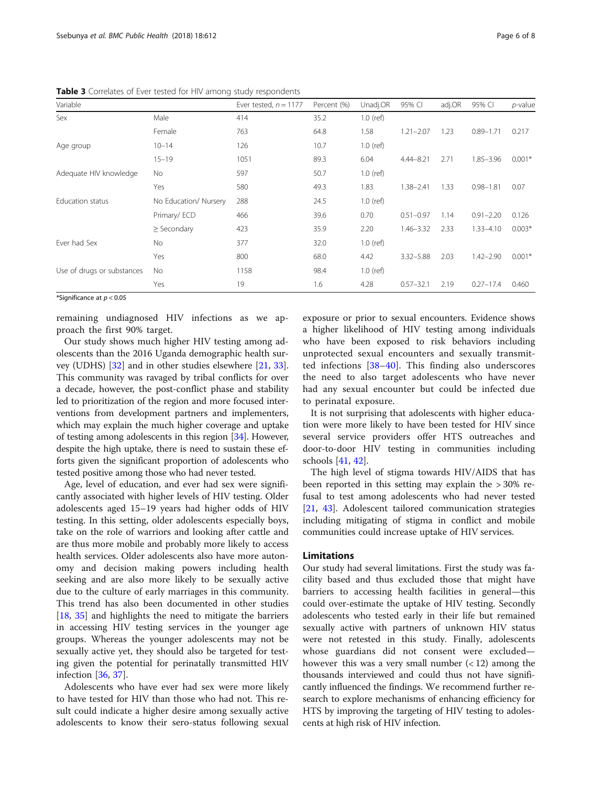| Variable                   |                       | Ever tested, $n = 1177$ | Percent (%) | Unadj.OR    | 95% CI        | adj.OR | 95% CI        | $p$ -value |
|----------------------------|-----------------------|-------------------------|-------------|-------------|---------------|--------|---------------|------------|
| Sex                        | Male                  | 414                     | 35.2        | $1.0$ (ref) |               |        |               |            |
|                            | Female                | 763                     | 64.8        | 1.58        | $1.21 - 2.07$ | 1.23   | $0.89 - 1.71$ | 0.217      |
| Age group                  | $10 - 14$             | 126                     | 10.7        | $1.0$ (ref) |               |        |               |            |
|                            | $15 - 19$             | 1051                    | 89.3        | 6.04        | $4.44 - 8.21$ | 2.71   | $1.85 - 3.96$ | $0.001*$   |
| Adequate HIV knowledge     | No                    | 597                     | 50.7        | $1.0$ (ref) |               |        |               |            |
|                            | Yes                   | 580                     | 49.3        | 1.83        | $1.38 - 2.41$ | 1.33   | $0.98 - 1.81$ | 0.07       |
| Education status           | No Education/ Nursery | 288                     | 24.5        | $1.0$ (ref) |               |        |               |            |
|                            | Primary/ECD           | 466                     | 39.6        | 0.70        | $0.51 - 0.97$ | 1.14   | $0.91 - 2.20$ | 0.126      |
|                            | $\ge$ Secondary       | 423                     | 35.9        | 2.20        | $1.46 - 3.32$ | 2.33   | $1.33 - 4.10$ | $0.003*$   |
| Ever had Sex               | No.                   | 377                     | 32.0        | $1.0$ (ref) |               |        |               |            |
|                            | Yes                   | 800                     | 68.0        | 4.42        | $3.32 - 5.88$ | 2.03   | $1.42 - 2.90$ | $0.001*$   |
| Use of drugs or substances | No.                   | 1158                    | 98.4        | $1.0$ (ref) |               |        |               |            |
|                            | Yes                   | 19                      | 1.6         | 4.28        | $0.57 - 32.1$ | 2.19   | $0.27 - 17.4$ | 0.460      |
|                            |                       |                         |             |             |               |        |               |            |

<span id="page-5-0"></span>Table 3 Correlates of Ever tested for HIV among study respondents

\*Significance at  $p < 0.05$ 

remaining undiagnosed HIV infections as we approach the first 90% target.

Our study shows much higher HIV testing among adolescents than the 2016 Uganda demographic health survey (UDHS) [[32](#page-7-0)] and in other studies elsewhere [\[21](#page-6-0), [33](#page-7-0)]. This community was ravaged by tribal conflicts for over a decade, however, the post-conflict phase and stability led to prioritization of the region and more focused interventions from development partners and implementers, which may explain the much higher coverage and uptake of testing among adolescents in this region [\[34](#page-7-0)]. However, despite the high uptake, there is need to sustain these efforts given the significant proportion of adolescents who tested positive among those who had never tested.

Age, level of education, and ever had sex were significantly associated with higher levels of HIV testing. Older adolescents aged 15–19 years had higher odds of HIV testing. In this setting, older adolescents especially boys, take on the role of warriors and looking after cattle and are thus more mobile and probably more likely to access health services. Older adolescents also have more autonomy and decision making powers including health seeking and are also more likely to be sexually active due to the culture of early marriages in this community. This trend has also been documented in other studies [[18,](#page-6-0) [35](#page-7-0)] and highlights the need to mitigate the barriers in accessing HIV testing services in the younger age groups. Whereas the younger adolescents may not be sexually active yet, they should also be targeted for testing given the potential for perinatally transmitted HIV infection [[36,](#page-7-0) [37\]](#page-7-0).

Adolescents who have ever had sex were more likely to have tested for HIV than those who had not. This result could indicate a higher desire among sexually active adolescents to know their sero-status following sexual

exposure or prior to sexual encounters. Evidence shows a higher likelihood of HIV testing among individuals who have been exposed to risk behaviors including unprotected sexual encounters and sexually transmitted infections [[38](#page-7-0)–[40](#page-7-0)]. This finding also underscores the need to also target adolescents who have never had any sexual encounter but could be infected due to perinatal exposure.

It is not surprising that adolescents with higher education were more likely to have been tested for HIV since several service providers offer HTS outreaches and door-to-door HIV testing in communities including schools [[41,](#page-7-0) [42\]](#page-7-0).

The high level of stigma towards HIV/AIDS that has been reported in this setting may explain the > 30% refusal to test among adolescents who had never tested [[21,](#page-6-0) [43\]](#page-7-0). Adolescent tailored communication strategies including mitigating of stigma in conflict and mobile communities could increase uptake of HIV services.

# Limitations

Our study had several limitations. First the study was facility based and thus excluded those that might have barriers to accessing health facilities in general—this could over-estimate the uptake of HIV testing. Secondly adolescents who tested early in their life but remained sexually active with partners of unknown HIV status were not retested in this study. Finally, adolescents whose guardians did not consent were excluded however this was a very small number  $\left($  < 12) among the thousands interviewed and could thus not have significantly influenced the findings. We recommend further research to explore mechanisms of enhancing efficiency for HTS by improving the targeting of HIV testing to adolescents at high risk of HIV infection.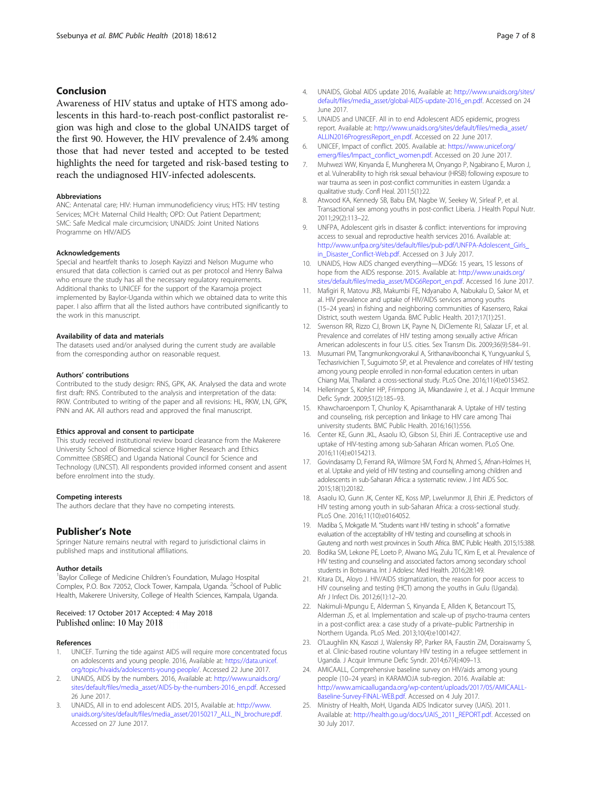# <span id="page-6-0"></span>Conclusion

Awareness of HIV status and uptake of HTS among adolescents in this hard-to-reach post-conflict pastoralist region was high and close to the global UNAIDS target of the first 90. However, the HIV prevalence of 2.4% among those that had never tested and accepted to be tested highlights the need for targeted and risk-based testing to reach the undiagnosed HIV-infected adolescents.

#### Abbreviations

ANC: Antenatal care; HIV: Human immunodeficiency virus; HTS: HIV testing Services; MCH: Maternal Child Health; OPD: Out Patient Department; SMC: Safe Medical male circumcision; UNAIDS: Joint United Nations Programme on HIV/AIDS

#### Acknowledgements

Special and heartfelt thanks to Joseph Kayizzi and Nelson Mugume who ensured that data collection is carried out as per protocol and Henry Balwa who ensure the study has all the necessary regulatory requirements. Additional thanks to UNICEF for the support of the Karamoja project implemented by Baylor-Uganda within which we obtained data to write this paper. I also affirm that all the listed authors have contributed significantly to the work in this manuscript.

#### Availability of data and materials

The datasets used and/or analysed during the current study are available from the corresponding author on reasonable request.

#### Authors' contributions

Contributed to the study design: RNS, GPK, AK. Analysed the data and wrote first draft: RNS. Contributed to the analysis and interpretation of the data: RKW. Contributed to writing of the paper and all revisions: HL, RKW, LN, GPK, PNN and AK. All authors read and approved the final manuscript.

#### Ethics approval and consent to participate

This study received institutional review board clearance from the Makerere University School of Biomedical science Higher Research and Ethics Committee (SBSREC) and Uganda National Council for Science and Technology (UNCST). All respondents provided informed consent and assent before enrolment into the study.

## Competing interests

The authors declare that they have no competing interests.

# Publisher's Note

Springer Nature remains neutral with regard to jurisdictional claims in published maps and institutional affiliations.

#### Author details

<sup>1</sup>Baylor College of Medicine Children's Foundation, Mulago Hospital Complex, P.O. Box 72052, Clock Tower, Kampala, Uganda. <sup>2</sup>School of Public Health, Makerere University, College of Health Sciences, Kampala, Uganda.

#### Received: 17 October 2017 Accepted: 4 May 2018 Published online: 10 May 2018

#### References

- 1. UNICEF. Turning the tide against AIDS will require more concentrated focus on adolescents and young people. 2016, Available at: [https://data.unicef.](https://data.unicef.org/topic/hivaids/adolescents-young-people) [org/topic/hivaids/adolescents-young-people/.](https://data.unicef.org/topic/hivaids/adolescents-young-people) Accessed 22 June 2017.
- 2. UNAIDS, AIDS by the numbers. 2016, Available at: [http://www.unaids.org/](http://www.unaids.org/sites/default/files/media_asset/AIDS-by-the-numbers-2016_en.pdf) [sites/default/files/media\\_asset/AIDS-by-the-numbers-2016\\_en.pdf.](http://www.unaids.org/sites/default/files/media_asset/AIDS-by-the-numbers-2016_en.pdf) Accessed 26 June 2017.
- 3. UNAIDS, All in to end adolescent AIDS. 2015, Available at: [http://www.](http://www.unaids.org/sites/default/files/media_asset/20150217_ALL_IN_brochure.pdf) [unaids.org/sites/default/files/media\\_asset/20150217\\_ALL\\_IN\\_brochure.pdf.](http://www.unaids.org/sites/default/files/media_asset/20150217_ALL_IN_brochure.pdf) Accessed on 27 June 2017.
- 4. UNAIDS, Global AIDS update 2016, Available at: [http://www.unaids.org/sites/](http://www.unaids.org/sites/default/files/media_asset/global-AIDS-update-2016_en.pdf) [default/files/media\\_asset/global-AIDS-update-2016\\_en.pdf.](http://www.unaids.org/sites/default/files/media_asset/global-AIDS-update-2016_en.pdf) Accessed on 24 June 2017.
- 5. UNAIDS and UNICEF. All in to end Adolescent AIDS epidemic, progress report. Available at: [http://www.unaids.org/sites/default/files/media\\_asset/](http://www.unaids.org/sites/default/files/media_asset/ALLIN2016ProgressReport_en.pdf) [ALLIN2016ProgressReport\\_en.pdf](http://www.unaids.org/sites/default/files/media_asset/ALLIN2016ProgressReport_en.pdf). Accessed on 22 June 2017.
- 6. UNICEF, Impact of conflict. 2005. Available at: [https://www.unicef.org/](https://www.unicef.org/emerg/files/Impact_conflict_women.pdf) [emerg/files/Impact\\_conflict\\_women.pdf](https://www.unicef.org/emerg/files/Impact_conflict_women.pdf). Accessed on 20 June 2017.
- 7. Muhwezi WW, Kinyanda E, Mungherera M, Onyango P, Ngabirano E, Muron J, et al. Vulnerability to high risk sexual behaviour (HRSB) following exposure to war trauma as seen in post-conflict communities in eastern Uganda: a qualitative study. Confl Heal. 2011;5(1):22.
- 8. Atwood KA, Kennedy SB, Babu EM, Nagbe W, Seekey W, Sirleaf P, et al. Transactional sex among youths in post-conflict Liberia. J Health Popul Nutr. 2011;29(2):113–22.
- 9. UNFPA, Adolescent girls in disaster & conflict: interventions for improving access to sexual and reproductive health services 2016. Available at: [http://www.unfpa.org/sites/default/files/pub-pdf/UNFPA-Adolescent\\_Girls\\_](http://www.unfpa.org/sites/default/files/pub-pdf/UNFPA-Adolescent_Girls_in_Disaster_Conflict-Web.pdf) [in\\_Disaster\\_Conflict-Web.pdf.](http://www.unfpa.org/sites/default/files/pub-pdf/UNFPA-Adolescent_Girls_in_Disaster_Conflict-Web.pdf) Accessed on 3 July 2017.
- 10. UNAIDS, How AIDS changed everything—MDG6: 15 years, 15 lessons of hope from the AIDS response. 2015. Available at: [http://www.unaids.org/](http://www.unaids.org/sites/default/files/media_asset/MDG6Report_en.pdf) [sites/default/files/media\\_asset/MDG6Report\\_en.pdf.](http://www.unaids.org/sites/default/files/media_asset/MDG6Report_en.pdf) Accessed 16 June 2017.
- 11. Mafigiri R, Matovu JKB, Makumbi FE, Ndyanabo A, Nabukalu D, Sakor M, et al. HIV prevalence and uptake of HIV/AIDS services among youths (15–24 years) in fishing and neighboring communities of Kasensero, Rakai District, south western Uganda. BMC Public Health. 2017;17(1):251.
- 12. Swenson RR, Rizzo CJ, Brown LK, Payne N, DiClemente RJ, Salazar LF, et al. Prevalence and correlates of HIV testing among sexually active African American adolescents in four U.S. cities. Sex Transm Dis. 2009;36(9):584–91.
- 13. Musumari PM, Tangmunkongvorakul A, Srithanaviboonchai K, Yungyuankul S, Techasrivichien T, Suguimoto SP, et al. Prevalence and correlates of HIV testing among young people enrolled in non-formal education centers in urban Chiang Mai, Thailand: a cross-sectional study. PLoS One. 2016;11(4):e0153452.
- 14. Helleringer S, Kohler HP, Frimpong JA, Mkandawire J, et al. J Acquir Immune Defic Syndr. 2009;51(2):185–93.
- 15. Khawcharoenporn T, Chunloy K, Apisarnthanarak A. Uptake of HIV testing and counseling, risk perception and linkage to HIV care among Thai university students. BMC Public Health. 2016;16(1):556.
- 16. Center KE, Gunn JKL, Asaolu IO, Gibson SJ, Ehiri JE. Contraceptive use and uptake of HIV-testing among sub-Saharan African women. PLoS One. 2016;11(4):e0154213.
- 17. Govindasamy D, Ferrand RA, Wilmore SM, Ford N, Ahmed S, Afnan-Holmes H, et al. Uptake and yield of HIV testing and counselling among children and adolescents in sub-Saharan Africa: a systematic review. J Int AIDS Soc. 2015;18(1):20182.
- 18. Asaolu IO, Gunn JK, Center KE, Koss MP, Lwelunmor JI, Ehiri JE. Predictors of HIV testing among youth in sub-Saharan Africa: a cross-sectional study. PLoS One. 2016;11(10):e0164052.
- 19. Madiba S, Mokgatle M. "Students want HIV testing in schools" a formative evaluation of the acceptability of HIV testing and counselling at schools in Gauteng and north west provinces in South Africa. BMC Public Health. 2015;15:388.
- 20. Bodika SM, Lekone PE, Loeto P, Alwano MG, Zulu TC, Kim E, et al. Prevalence of HIV testing and counseling and associated factors among secondary school students in Botswana. Int J Adolesc Med Health. 2016;28:149.
- 21. Kitara DL, Aloyo J. HIV/AIDS stigmatization, the reason for poor access to HIV counseling and testing (HCT) among the youths in Gulu (Uganda). Afr J Infect Dis. 2012;6(1):12–20.
- 22. Nakimuli-Mpungu E, Alderman S, Kinyanda E, Allden K, Betancourt TS, Alderman JS, et al. Implementation and scale-up of psycho-trauma centers in a post-conflict area: a case study of a private–public Partnership in Northern Uganda. PLoS Med. 2013;10(4):e1001427.
- 23. O'Laughlin KN, Kasozi J, Walensky RP, Parker RA, Faustin ZM, Doraiswamy S, et al. Clinic-based routine voluntary HIV testing in a refugee settlement in Uganda. J Acquir Immune Defic Syndr. 2014;67(4):409–13.
- 24. AMICAALL, Comprehensive baseline survey on HIV/aids among young people (10–24 years) in KARAMOJA sub-region. 2016. Available at: [http://www.amicaalluganda.org/wp-content/uploads/2017/05/AMICAALL-](http://www.amicaalluganda.org/wp-content/uploads/2017/05/AMICAALL-Baseline-Survey-FINAL-WEB.pdf)[Baseline-Survey-FINAL-WEB.pdf.](http://www.amicaalluganda.org/wp-content/uploads/2017/05/AMICAALL-Baseline-Survey-FINAL-WEB.pdf) Accessed on 4 July 2017.
- 25. Ministry of Health, MoH, Uganda AIDS Indicator survey (UAIS). 2011. Available at: [http://health.go.ug/docs/UAIS\\_2011\\_REPORT.pdf](http://health.go.ug/docs/UAIS_2011_REPORT.pdf). Accessed on 30 July 2017.